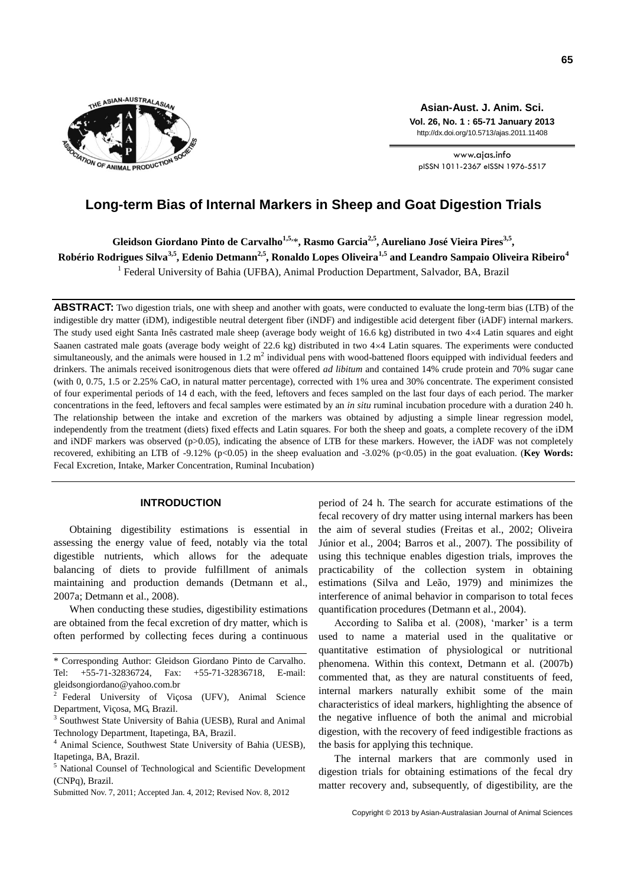

**Asian-Aust. J. Anim. Sci. Vol. 26, No. 1 : 65-71 January 2013** http://dx.doi.org/10.5713/ajas.2011.11408

www.ajas.info pISSN 1011-2367 eISSN 1976-5517

# **Long-term Bias of Internal Markers in Sheep and Goat Digestion Trials**

**Gleidson Giordano Pinto de Carvalho1,5,** \***, Rasmo Garcia2,5 , Aureliano José Vieira Pires3,5 , Robério Rodrigues Silva3,5, Edenio Detmann2,5, Ronaldo Lopes Oliveira1,5 and Leandro Sampaio Oliveira Ribeiro<sup>4</sup>**

<sup>1</sup> Federal University of Bahia (UFBA), Animal Production Department, Salvador, BA, Brazil

**ABSTRACT:** Two digestion trials, one with sheep and another with goats, were conducted to evaluate the long-term bias (LTB) of the indigestible dry matter (iDM), indigestible neutral detergent fiber (iNDF) and indigestible acid detergent fiber (iADF) internal markers. The study used eight Santa Inês castrated male sheep (average body weight of 16.6 kg) distributed in two  $4 \times 4$  Latin squares and eight Saanen castrated male goats (average body weight of 22.6 kg) distributed in two 44 Latin squares. The experiments were conducted simultaneously, and the animals were housed in  $1.2 \text{ m}^2$  individual pens with wood-battened floors equipped with individual feeders and drinkers. The animals received isonitrogenous diets that were offered *ad libitum* and contained 14% crude protein and 70% sugar cane (with 0, 0.75, 1.5 or 2.25% CaO, in natural matter percentage), corrected with 1% urea and 30% concentrate. The experiment consisted of four experimental periods of 14 d each, with the feed, leftovers and feces sampled on the last four days of each period. The marker concentrations in the feed, leftovers and fecal samples were estimated by an *in situ* ruminal incubation procedure with a duration 240 h. The relationship between the intake and excretion of the markers was obtained by adjusting a simple linear regression model, independently from the treatment (diets) fixed effects and Latin squares. For both the sheep and goats, a complete recovery of the iDM and iNDF markers was observed (p>0.05), indicating the absence of LTB for these markers. However, the iADF was not completely recovered, exhibiting an LTB of -9.12% (p<0.05) in the sheep evaluation and -3.02% (p<0.05) in the goat evaluation. (**Key Words:** Fecal Excretion, Intake, Marker Concentration, Ruminal Incubation)

# **INTRODUCTION**

Obtaining digestibility estimations is essential in assessing the energy value of feed, notably via the total digestible nutrients, which allows for the adequate balancing of diets to provide fulfillment of animals maintaining and production demands (Detmann et al., 2007a; Detmann et al., 2008).

When conducting these studies, digestibility estimations are obtained from the fecal excretion of dry matter, which is often performed by collecting feces during a continuous

period of 24 h. The search for accurate estimations of the fecal recovery of dry matter using internal markers has been the aim of several studies (Freitas et al., 2002; Oliveira Júnior et al., 2004; Barros et al., 2007). The possibility of using this technique enables digestion trials, improves the practicability of the collection system in obtaining estimations (Silva and Leão, 1979) and minimizes the interference of animal behavior in comparison to total feces quantification procedures (Detmann et al., 2004).

According to Saliba et al. (2008), 'marker' is a term used to name a material used in the qualitative or quantitative estimation of physiological or nutritional phenomena. Within this context, Detmann et al. (2007b) commented that, as they are natural constituents of feed, internal markers naturally exhibit some of the main characteristics of ideal markers, highlighting the absence of the negative influence of both the animal and microbial digestion, with the recovery of feed indigestible fractions as the basis for applying this technique.

The internal markers that are commonly used in digestion trials for obtaining estimations of the fecal dry matter recovery and, subsequently, of digestibility, are the

<sup>\*</sup> Corresponding Author: Gleidson Giordano Pinto de Carvalho. Tel: +55-71-32836724, Fax: +55-71-32836718, E-mail: gleidsongiordano@yahoo.com.br

<sup>2</sup> Federal University of Viçosa (UFV), Animal Science Department, Viçosa, MG, Brazil.

<sup>3</sup> Southwest State University of Bahia (UESB), Rural and Animal Technology Department, Itapetinga, BA, Brazil.

<sup>4</sup> Animal Science, Southwest State University of Bahia (UESB), Itapetinga, BA, Brazil.

<sup>&</sup>lt;sup>5</sup> National Counsel of Technological and Scientific Development (CNPq), Brazil.

Submitted Nov. 7, 2011; Accepted Jan. 4, 2012; Revised Nov. 8, 2012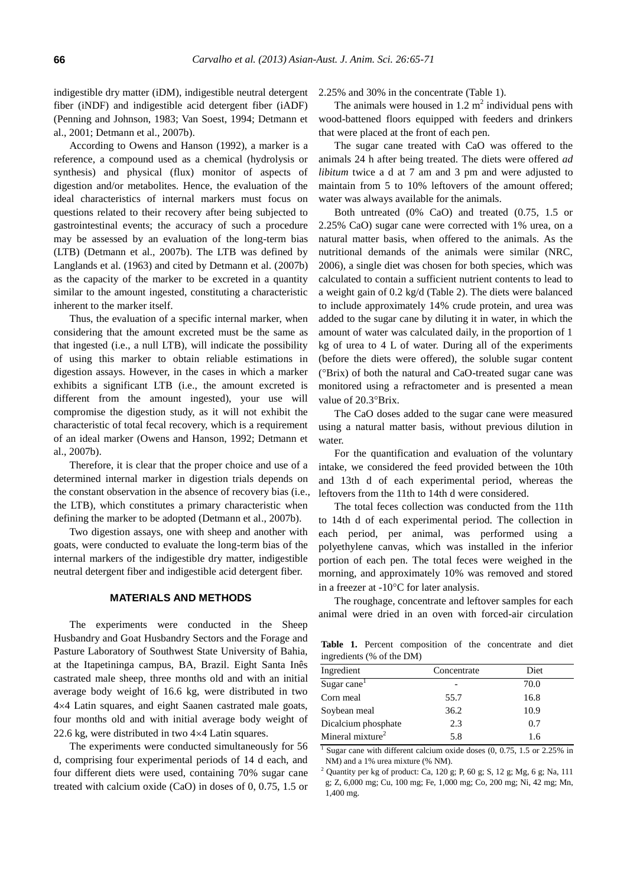indigestible dry matter (iDM), indigestible neutral detergent fiber (iNDF) and indigestible acid detergent fiber (iADF) (Penning and Johnson, 1983; Van Soest, 1994; Detmann et al., 2001; Detmann et al., 2007b).

According to Owens and Hanson (1992), a marker is a reference, a compound used as a chemical (hydrolysis or synthesis) and physical (flux) monitor of aspects of digestion and/or metabolites. Hence, the evaluation of the ideal characteristics of internal markers must focus on questions related to their recovery after being subjected to gastrointestinal events; the accuracy of such a procedure may be assessed by an evaluation of the long-term bias (LTB) (Detmann et al., 2007b). The LTB was defined by Langlands et al. (1963) and cited by Detmann et al. (2007b) as the capacity of the marker to be excreted in a quantity similar to the amount ingested, constituting a characteristic inherent to the marker itself.

Thus, the evaluation of a specific internal marker, when considering that the amount excreted must be the same as that ingested (i.e., a null LTB), will indicate the possibility of using this marker to obtain reliable estimations in digestion assays. However, in the cases in which a marker exhibits a significant LTB (i.e., the amount excreted is different from the amount ingested), your use will compromise the digestion study, as it will not exhibit the characteristic of total fecal recovery, which is a requirement of an ideal marker (Owens and Hanson, 1992; Detmann et al., 2007b).

Therefore, it is clear that the proper choice and use of a determined internal marker in digestion trials depends on the constant observation in the absence of recovery bias (i.e., the LTB), which constitutes a primary characteristic when defining the marker to be adopted (Detmann et al., 2007b).

Two digestion assays, one with sheep and another with goats, were conducted to evaluate the long-term bias of the internal markers of the indigestible dry matter, indigestible neutral detergent fiber and indigestible acid detergent fiber.

# **MATERIALS AND METHODS**

The experiments were conducted in the Sheep Husbandry and Goat Husbandry Sectors and the Forage and Pasture Laboratory of Southwest State University of Bahia, at the Itapetininga campus, BA, Brazil. Eight Santa Inês castrated male sheep, three months old and with an initial average body weight of 16.6 kg, were distributed in two 44 Latin squares, and eight Saanen castrated male goats, four months old and with initial average body weight of 22.6 kg, were distributed in two  $4\times4$  Latin squares.

The experiments were conducted simultaneously for 56 d, comprising four experimental periods of 14 d each, and four different diets were used, containing 70% sugar cane treated with calcium oxide (CaO) in doses of 0, 0.75, 1.5 or

2.25% and 30% in the concentrate (Table 1).

The animals were housed in  $1.2 \text{ m}^2$  individual pens with wood-battened floors equipped with feeders and drinkers that were placed at the front of each pen.

The sugar cane treated with CaO was offered to the animals 24 h after being treated. The diets were offered *ad libitum* twice a d at 7 am and 3 pm and were adjusted to maintain from 5 to 10% leftovers of the amount offered; water was always available for the animals.

Both untreated (0% CaO) and treated (0.75, 1.5 or 2.25% CaO) sugar cane were corrected with 1% urea, on a natural matter basis, when offered to the animals. As the nutritional demands of the animals were similar (NRC, 2006), a single diet was chosen for both species, which was calculated to contain a sufficient nutrient contents to lead to a weight gain of 0.2 kg/d (Table 2). The diets were balanced to include approximately 14% crude protein, and urea was added to the sugar cane by diluting it in water, in which the amount of water was calculated daily, in the proportion of 1 kg of urea to 4 L of water. During all of the experiments (before the diets were offered), the soluble sugar content (Brix) of both the natural and CaO-treated sugar cane was monitored using a refractometer and is presented a mean value of 20.3°Brix.

The CaO doses added to the sugar cane were measured using a natural matter basis, without previous dilution in water.

For the quantification and evaluation of the voluntary intake, we considered the feed provided between the 10th and 13th d of each experimental period, whereas the leftovers from the 11th to 14th d were considered.

The total feces collection was conducted from the 11th to 14th d of each experimental period. The collection in each period, per animal, was performed using a polyethylene canvas, which was installed in the inferior portion of each pen. The total feces were weighed in the morning, and approximately 10% was removed and stored in a freezer at  $-10^{\circ}$ C for later analysis.

The roughage, concentrate and leftover samples for each animal were dried in an oven with forced-air circulation

**Table 1.** Percent composition of the concentrate and diet ingredients (% of the DM)

| Ingredient                   | Concentrate | Diet |
|------------------------------|-------------|------|
| Sugar cane <sup>1</sup>      |             | 70.0 |
| Corn meal                    | 55.7        | 16.8 |
| Soybean meal                 | 36.2        | 10.9 |
| Dicalcium phosphate          | 2.3         | 0.7  |
| Mineral mixture <sup>2</sup> | 5.8         | 1.6  |

<sup>1</sup> Sugar cane with different calcium oxide doses (0, 0.75, 1.5 or 2.25% in NM) and a 1% urea mixture (% NM).

 $2$  Quantity per kg of product: Ca, 120 g; P, 60 g; S, 12 g; Mg, 6 g; Na, 111 g; Z, 6,000 mg; Cu, 100 mg; Fe, 1,000 mg; Co, 200 mg; Ni, 42 mg; Mn, 1,400 mg.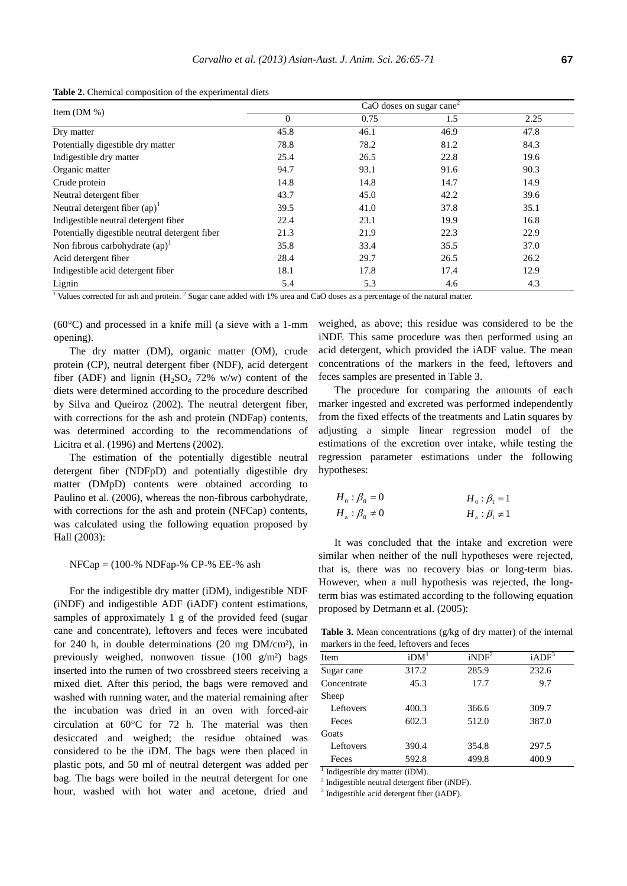|                                                | CaO doses on sugar cane <sup>2</sup> |      |      |      |
|------------------------------------------------|--------------------------------------|------|------|------|
| Item $(DM %)$                                  | $\mathbf{0}$                         | 0.75 | 1.5  | 2.25 |
| Dry matter                                     | 45.8                                 | 46.1 | 46.9 | 47.8 |
| Potentially digestible dry matter              | 78.8                                 | 78.2 | 81.2 | 84.3 |
| Indigestible dry matter                        | 25.4                                 | 26.5 | 22.8 | 19.6 |
| Organic matter                                 | 94.7                                 | 93.1 | 91.6 | 90.3 |
| Crude protein                                  | 14.8                                 | 14.8 | 14.7 | 14.9 |
| Neutral detergent fiber                        | 43.7                                 | 45.0 | 42.2 | 39.6 |
| Neutral detergent fiber $(ap)^1$               | 39.5                                 | 41.0 | 37.8 | 35.1 |
| Indigestible neutral detergent fiber           | 22.4                                 | 23.1 | 19.9 | 16.8 |
| Potentially digestible neutral detergent fiber | 21.3                                 | 21.9 | 22.3 | 22.9 |
| Non fibrous carbohydrate $(ap)^{1}$            | 35.8                                 | 33.4 | 35.5 | 37.0 |
| Acid detergent fiber                           | 28.4                                 | 29.7 | 26.5 | 26.2 |
| Indigestible acid detergent fiber              | 18.1                                 | 17.8 | 17.4 | 12.9 |
| Lignin                                         | 5.4                                  | 5.3  | 4.6  | 4.3  |

**Table 2.** Chemical composition of the experimental diets

<sup>1</sup> Values corrected for ash and protein.<sup>2</sup> Sugar cane added with 1% urea and CaO doses as a percentage of the natural matter.

 $(60^{\circ}$ C) and processed in a knife mill (a sieve with a 1-mm opening).

The dry matter (DM), organic matter (OM), crude protein (CP), neutral detergent fiber (NDF), acid detergent fiber (ADF) and lignin  $(H_2SO_4 72\%$  w/w) content of the diets were determined according to the procedure described by Silva and Queiroz (2002). The neutral detergent fiber, with corrections for the ash and protein (NDFap) contents, was determined according to the recommendations of Licitra et al. (1996) and Mertens (2002).

The estimation of the potentially digestible neutral detergent fiber (NDFpD) and potentially digestible dry matter (DMpD) contents were obtained according to Paulino et al. (2006), whereas the non-fibrous carbohydrate, with corrections for the ash and protein (NFCap) contents, was calculated using the following equation proposed by Hall (2003):

#### $NFCa$ p = (100-%  $NDFa$ p-%  $CP-$ %  $EE-$ % ash

For the indigestible dry matter (iDM), indigestible NDF (iNDF) and indigestible ADF (iADF) content estimations, samples of approximately 1 g of the provided feed (sugar cane and concentrate), leftovers and feces were incubated for 240 h, in double determinations (20 mg DM/cm²), in previously weighed, nonwoven tissue (100 g/m²) bags inserted into the rumen of two crossbreed steers receiving a mixed diet. After this period, the bags were removed and washed with running water, and the material remaining after the incubation was dried in an oven with forced-air circulation at  $60^{\circ}$ C for 72 h. The material was then desiccated and weighed; the residue obtained was considered to be the iDM. The bags were then placed in plastic pots, and 50 ml of neutral detergent was added per bag. The bags were boiled in the neutral detergent for one hour, washed with hot water and acetone, dried and weighed, as above; this residue was considered to be the iNDF. This same procedure was then performed using an acid detergent, which provided the iADF value. The mean concentrations of the markers in the feed, leftovers and feces samples are presented in Table 3.

The procedure for comparing the amounts of each marker ingested and excreted was performed independently from the fixed effects of the treatments and Latin squares by adjusting a simple linear regression model of the estimations of the excretion over intake, while testing the regression parameter estimations under the following hypotheses:

$$
H_0: \beta_0 = 0
$$
  
\n
$$
H_a: \beta_0 \neq 0
$$
  
\n
$$
H_a: \beta_1 \neq 1
$$
  
\n
$$
H_a: \beta_1 \neq 1
$$

It was concluded that the intake and excretion were similar when neither of the null hypotheses were rejected, that is, there was no recovery bias or long-term bias. However, when a null hypothesis was rejected, the longterm bias was estimated according to the following equation proposed by Detmann et al. (2005):

**Table 3.** Mean concentrations (g/kg of dry matter) of the internal markers in the feed, leftovers and feces

| Item        | iDM <sup>T</sup> | iNDF <sup>2</sup> | iADF <sup>3</sup> |
|-------------|------------------|-------------------|-------------------|
| Sugar cane  | 317.2            | 285.9             | 232.6             |
| Concentrate | 45.3             | 17.7              | 9.7               |
| Sheep       |                  |                   |                   |
| Leftovers   | 400.3            | 366.6             | 309.7             |
| Feces       | 602.3            | 512.0             | 387.0             |
| Goats       |                  |                   |                   |
| Leftovers   | 390.4            | 354.8             | 297.5             |
| Feces       | 592.8            | 499.8             | 400.9             |

<sup>1</sup> Indigestible dry matter (iDM).

2 Indigestible neutral detergent fiber (iNDF).

3 Indigestible acid detergent fiber (iADF).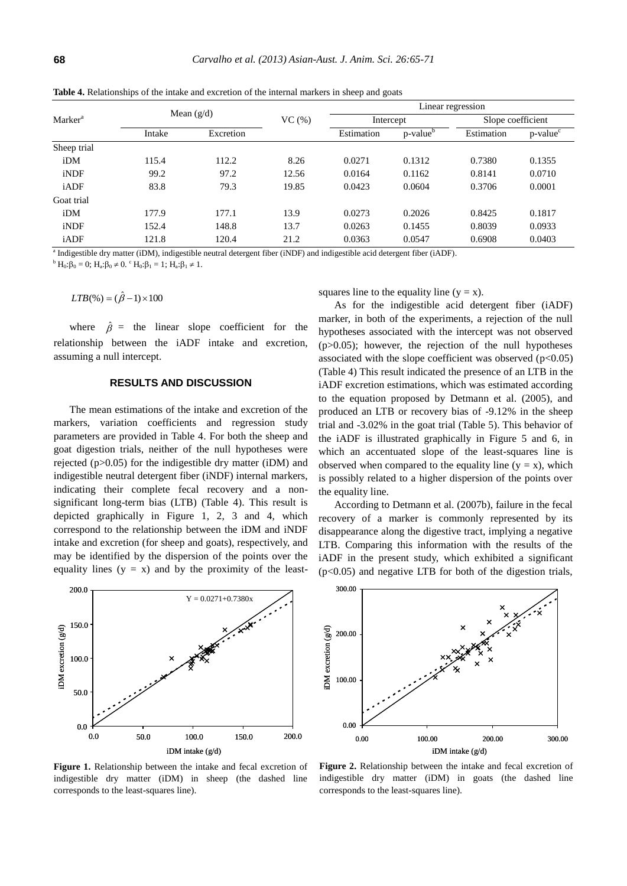|                     |              |           |           | Linear regression |                      |            |                         |
|---------------------|--------------|-----------|-----------|-------------------|----------------------|------------|-------------------------|
| Marker <sup>a</sup> | Mean $(g/d)$ | VC(%)     | Intercept |                   | Slope coefficient    |            |                         |
|                     | Intake       | Excretion |           | Estimation        | p-value <sup>b</sup> | Estimation | $p$ -value <sup>c</sup> |
| Sheep trial         |              |           |           |                   |                      |            |                         |
| iDM                 | 115.4        | 112.2     | 8.26      | 0.0271            | 0.1312               | 0.7380     | 0.1355                  |
| iNDF                | 99.2         | 97.2      | 12.56     | 0.0164            | 0.1162               | 0.8141     | 0.0710                  |
| iADF                | 83.8         | 79.3      | 19.85     | 0.0423            | 0.0604               | 0.3706     | 0.0001                  |
| Goat trial          |              |           |           |                   |                      |            |                         |
| iDM                 | 177.9        | 177.1     | 13.9      | 0.0273            | 0.2026               | 0.8425     | 0.1817                  |
| iNDF                | 152.4        | 148.8     | 13.7      | 0.0263            | 0.1455               | 0.8039     | 0.0933                  |
| iADF                | 121.8        | 120.4     | 21.2      | 0.0363            | 0.0547               | 0.6908     | 0.0403                  |

**Table 4.** Relationships of the intake and excretion of the internal markers in sheep and goats

a Indigestible dry matter (iDM), indigestible neutral detergent fiber (iNDF) and indigestible acid detergent fiber (iADF).

 ${}^{b}H_{0}:\beta_{0}=0$ ;  $H_{a}:\beta_{0}\neq0$ .  ${}^{c}H_{0}:\beta_{1}=1$ ;  $H_{a}:\beta_{1}\neq1$ .

 $LTB(\%)=(\hat{\beta}-1)\times 100$ 

where  $\hat{\beta}$  = the linear slope coefficient for the relationship between the iADF intake and excretion, assuming a null intercept.

# **RESULTS AND DISCUSSION**

The mean estimations of the intake and excretion of the markers, variation coefficients and regression study parameters are provided in Table 4. For both the sheep and goat digestion trials, neither of the null hypotheses were rejected (p>0.05) for the indigestible dry matter (iDM) and indigestible neutral detergent fiber (iNDF) internal markers, indicating their complete fecal recovery and a nonsignificant long-term bias (LTB) (Table 4). This result is depicted graphically in Figure 1, 2, 3 and 4, which correspond to the relationship between the iDM and iNDF intake and excretion (for sheep and goats), respectively, and may be identified by the dispersion of the points over the equality lines  $(y = x)$  and by the proximity of the least-



**Figure 1.** Relationship between the intake and fecal excretion of indigestible dry matter (iDM) in sheep (the dashed line corresponds to the least-squares line).

squares line to the equality line  $(y = x)$ .

As for the indigestible acid detergent fiber (iADF) marker, in both of the experiments, a rejection of the null hypotheses associated with the intercept was not observed  $(p>0.05)$ ; however, the rejection of the null hypotheses associated with the slope coefficient was observed  $(p<0.05)$ (Table 4) This result indicated the presence of an LTB in the iADF excretion estimations, which was estimated according to the equation proposed by Detmann et al. (2005), and produced an LTB or recovery bias of -9.12% in the sheep trial and -3.02% in the goat trial (Table 5). This behavior of the iADF is illustrated graphically in Figure 5 and 6, in which an accentuated slope of the least-squares line is observed when compared to the equality line  $(y = x)$ , which is possibly related to a higher dispersion of the points over the equality line.

According to Detmann et al. (2007b), failure in the fecal recovery of a marker is commonly represented by its disappearance along the digestive tract, implying a negative LTB. Comparing this information with the results of the iADF in the present study, which exhibited a significant  $(p<0.05)$  and negative LTB for both of the digestion trials,



**Figure 2.** Relationship between the intake and fecal excretion of indigestible dry matter (iDM) in goats (the dashed line corresponds to the least-squares line).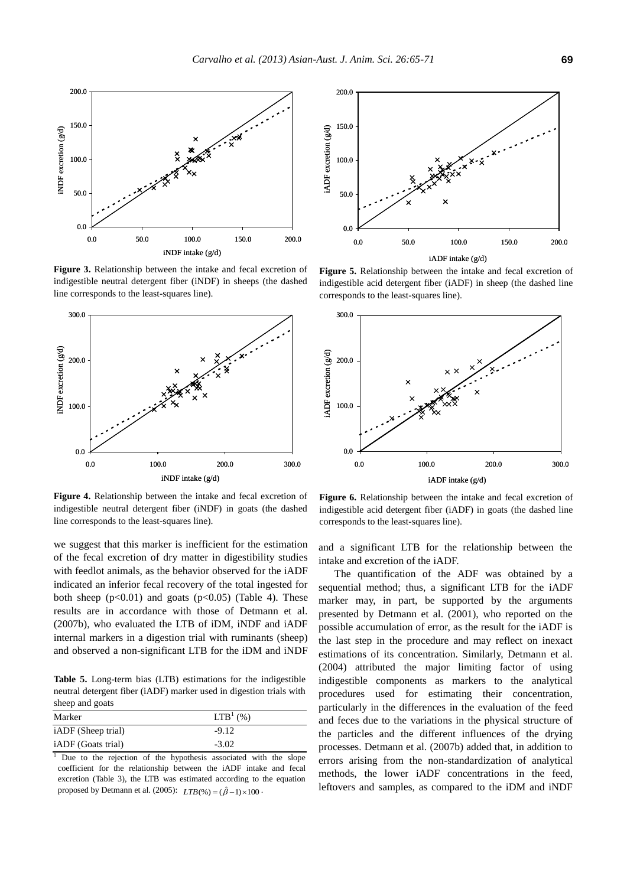

**Figure 3.** Relationship between the intake and fecal excretion of indigestible neutral detergent fiber (iNDF) in sheeps (the dashed line corresponds to the least-squares line).



**Figure 4.** Relationship between the intake and fecal excretion of indigestible neutral detergent fiber (iNDF) in goats (the dashed line corresponds to the least-squares line).

we suggest that this marker is inefficient for the estimation of the fecal excretion of dry matter in digestibility studies with feedlot animals, as the behavior observed for the iADF indicated an inferior fecal recovery of the total ingested for both sheep  $(p<0.01)$  and goats  $(p<0.05)$  (Table 4). These results are in accordance with those of Detmann et al. (2007b), who evaluated the LTB of iDM, iNDF and iADF internal markers in a digestion trial with ruminants (sheep) and observed a non-significant LTB for the iDM and iNDF

**Table 5.** Long-term bias (LTB) estimations for the indigestible neutral detergent fiber (iADF) marker used in digestion trials with sheep and goats

| Marker                    | LTB <sup>1</sup> (%) |
|---------------------------|----------------------|
| iADF (Sheep trial)        | $-9.12$              |
| <i>iADF</i> (Goats trial) | $-3.02$              |

<sup>1</sup> Due to the rejection of the hypothesis associated with the slope coefficient for the relationship between the iADF intake and fecal excretion (Table 3), the LTB was estimated according to the equation proposed by Detmann et al.  $(2005)$ :  $LTB(\%) = (\hat{\beta}-1) \times 100$ .



**Figure 5.** Relationship between the intake and fecal excretion of indigestible acid detergent fiber (iADF) in sheep (the dashed line corresponds to the least-squares line).



**Figure 6.** Relationship between the intake and fecal excretion of indigestible acid detergent fiber (iADF) in goats (the dashed line corresponds to the least-squares line).

and a significant LTB for the relationship between the intake and excretion of the iADF.

The quantification of the ADF was obtained by a sequential method; thus, a significant LTB for the iADF marker may, in part, be supported by the arguments presented by Detmann et al. (2001), who reported on the possible accumulation of error, as the result for the iADF is the last step in the procedure and may reflect on inexact estimations of its concentration. Similarly, Detmann et al. (2004) attributed the major limiting factor of using indigestible components as markers to the analytical procedures used for estimating their concentration, particularly in the differences in the evaluation of the feed and feces due to the variations in the physical structure of the particles and the different influences of the drying processes. Detmann et al. (2007b) added that, in addition to errors arising from the non-standardization of analytical methods, the lower iADF concentrations in the feed, leftovers and samples, as compared to the iDM and iNDF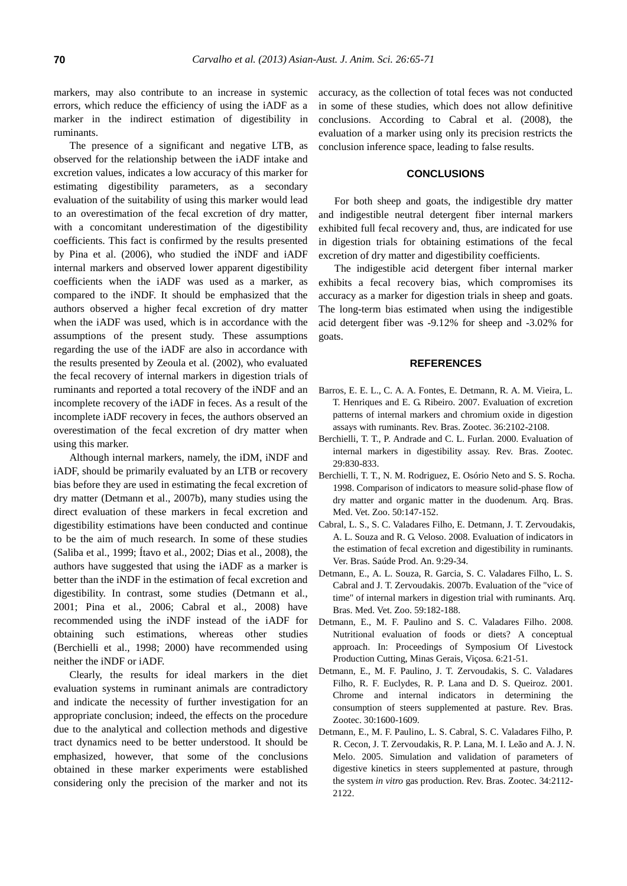markers, may also contribute to an increase in systemic errors, which reduce the efficiency of using the iADF as a marker in the indirect estimation of digestibility in ruminants.

The presence of a significant and negative LTB, as observed for the relationship between the iADF intake and excretion values, indicates a low accuracy of this marker for estimating digestibility parameters, as a secondary evaluation of the suitability of using this marker would lead to an overestimation of the fecal excretion of dry matter, with a concomitant underestimation of the digestibility coefficients. This fact is confirmed by the results presented by Pina et al. (2006), who studied the iNDF and iADF internal markers and observed lower apparent digestibility coefficients when the iADF was used as a marker, as compared to the iNDF. It should be emphasized that the authors observed a higher fecal excretion of dry matter when the iADF was used, which is in accordance with the assumptions of the present study. These assumptions regarding the use of the iADF are also in accordance with the results presented by Zeoula et al. (2002), who evaluated the fecal recovery of internal markers in digestion trials of ruminants and reported a total recovery of the iNDF and an incomplete recovery of the iADF in feces. As a result of the incomplete iADF recovery in feces, the authors observed an overestimation of the fecal excretion of dry matter when using this marker.

Although internal markers, namely, the iDM, iNDF and iADF, should be primarily evaluated by an LTB or recovery bias before they are used in estimating the fecal excretion of dry matter (Detmann et al., 2007b), many studies using the direct evaluation of these markers in fecal excretion and digestibility estimations have been conducted and continue to be the aim of much research. In some of these studies (Saliba et al., 1999; Ítavo et al., 2002; Dias et al., 2008), the authors have suggested that using the iADF as a marker is better than the iNDF in the estimation of fecal excretion and digestibility. In contrast, some studies (Detmann et al., 2001; Pina et al., 2006; Cabral et al., 2008) have recommended using the iNDF instead of the iADF for obtaining such estimations, whereas other studies (Berchielli et al., 1998; 2000) have recommended using neither the iNDF or iADF.

Clearly, the results for ideal markers in the diet evaluation systems in ruminant animals are contradictory and indicate the necessity of further investigation for an appropriate conclusion; indeed, the effects on the procedure due to the analytical and collection methods and digestive tract dynamics need to be better understood. It should be emphasized, however, that some of the conclusions obtained in these marker experiments were established considering only the precision of the marker and not its accuracy, as the collection of total feces was not conducted in some of these studies, which does not allow definitive conclusions. According to Cabral et al. (2008), the evaluation of a marker using only its precision restricts the conclusion inference space, leading to false results.

# **CONCLUSIONS**

For both sheep and goats, the indigestible dry matter and indigestible neutral detergent fiber internal markers exhibited full fecal recovery and, thus, are indicated for use in digestion trials for obtaining estimations of the fecal excretion of dry matter and digestibility coefficients.

The indigestible acid detergent fiber internal marker exhibits a fecal recovery bias, which compromises its accuracy as a marker for digestion trials in sheep and goats. The long-term bias estimated when using the indigestible acid detergent fiber was -9.12% for sheep and -3.02% for goats.

## **REFERENCES**

- Barros, E. E. L., C. A. A. Fontes, E. Detmann, R. A. M. Vieira, L. T. Henriques and E. G. Ribeiro. 2007. Evaluation of excretion patterns of internal markers and chromium oxide in digestion assays with ruminants. Rev. Bras. Zootec. 36:2102-2108.
- Berchielli, T. T., P. Andrade and C. L. Furlan. 2000. Evaluation of internal markers in digestibility assay. Rev. Bras. Zootec. 29:830-833.
- Berchielli, T. T., N. M. Rodriguez, E. Osório Neto and S. S. Rocha. 1998. Comparison of indicators to measure solid-phase flow of dry matter and organic matter in the duodenum. Arq. Bras. Med. Vet. Zoo. 50:147-152.
- Cabral, L. S., S. C. Valadares Filho, E. Detmann, J. T. Zervoudakis, A. L. Souza and R. G. Veloso. 2008. Evaluation of indicators in the estimation of fecal excretion and digestibility in ruminants. Ver. Bras. Saúde Prod. An. 9:29-34.
- Detmann, E., A. L. Souza, R. Garcia, S. C. Valadares Filho, L. S. Cabral and J. T. Zervoudakis. 2007b. Evaluation of the "vice of time" of internal markers in digestion trial with ruminants. Arq. Bras. Med. Vet. Zoo. 59:182-188.
- Detmann, E., M. F. Paulino and S. C. Valadares Filho. 2008. Nutritional evaluation of foods or diets? A conceptual approach. In: Proceedings of Symposium Of Livestock Production Cutting, Minas Gerais, Viçosa. 6:21-51.
- Detmann, E., M. F. Paulino, J. T. Zervoudakis, S. C. Valadares Filho, R. F. Euclydes, R. P. Lana and D. S. Queiroz. 2001. Chrome and internal indicators in determining the consumption of steers supplemented at pasture. Rev. Bras. Zootec. 30:1600-1609.
- Detmann, E., M. F. Paulino, L. S. Cabral, S. C. Valadares Filho, P. R. Cecon, J. T. Zervoudakis, R. P. Lana, M. I. Leão and A. J. N. Melo. 2005. Simulation and validation of parameters of digestive kinetics in steers supplemented at pasture, through the system *in vitro* gas production. Rev. Bras. Zootec. 34:2112- 2122.